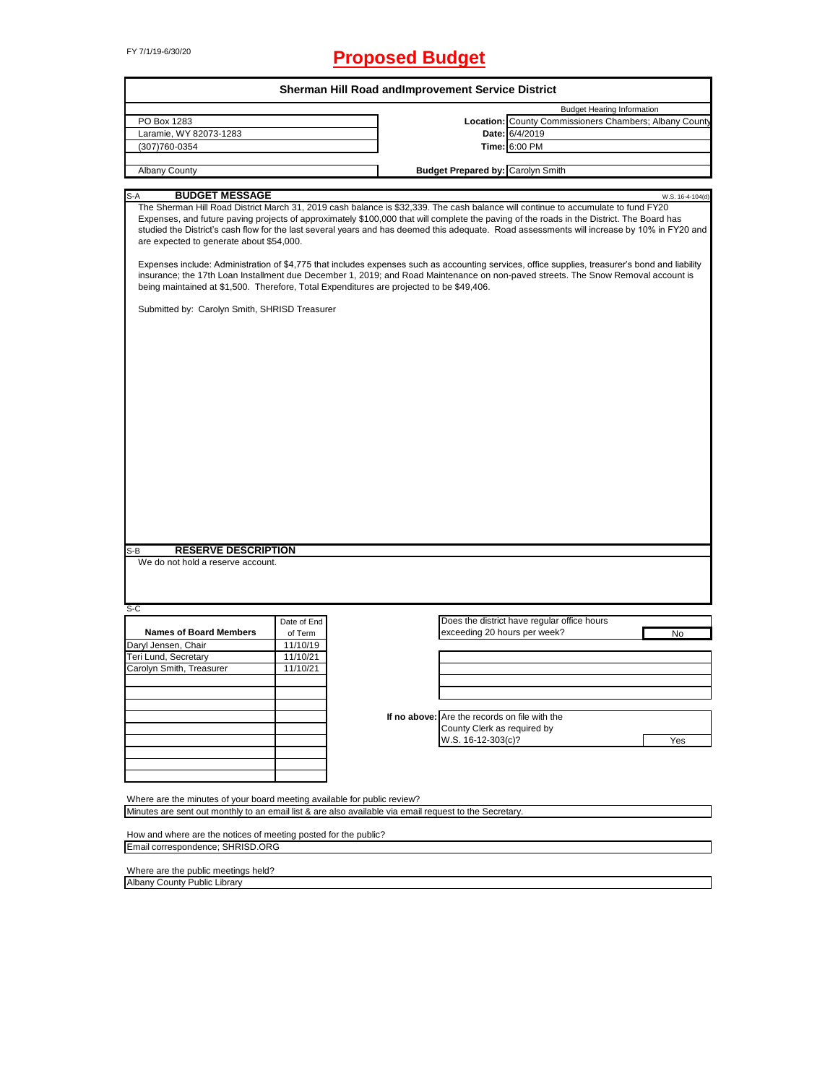# FY 7/1/19-6/30/20 **Proposed Budget**

|                                                                                                                                                                                                                                                                                                                                                                                                                                                                                                                                                                                                                                                                                                                                                                                                                                                                                                                                                | Sherman Hill Road and Improvement Service District |                                               |                                                        |                                   |
|------------------------------------------------------------------------------------------------------------------------------------------------------------------------------------------------------------------------------------------------------------------------------------------------------------------------------------------------------------------------------------------------------------------------------------------------------------------------------------------------------------------------------------------------------------------------------------------------------------------------------------------------------------------------------------------------------------------------------------------------------------------------------------------------------------------------------------------------------------------------------------------------------------------------------------------------|----------------------------------------------------|-----------------------------------------------|--------------------------------------------------------|-----------------------------------|
|                                                                                                                                                                                                                                                                                                                                                                                                                                                                                                                                                                                                                                                                                                                                                                                                                                                                                                                                                |                                                    |                                               |                                                        | <b>Budget Hearing Information</b> |
| PO Box 1283                                                                                                                                                                                                                                                                                                                                                                                                                                                                                                                                                                                                                                                                                                                                                                                                                                                                                                                                    |                                                    |                                               | Location: County Commissioners Chambers; Albany County |                                   |
| Laramie, WY 82073-1283                                                                                                                                                                                                                                                                                                                                                                                                                                                                                                                                                                                                                                                                                                                                                                                                                                                                                                                         |                                                    |                                               | Date: 6/4/2019                                         |                                   |
| (307)760-0354                                                                                                                                                                                                                                                                                                                                                                                                                                                                                                                                                                                                                                                                                                                                                                                                                                                                                                                                  |                                                    |                                               | Time: 6:00 PM                                          |                                   |
|                                                                                                                                                                                                                                                                                                                                                                                                                                                                                                                                                                                                                                                                                                                                                                                                                                                                                                                                                |                                                    |                                               |                                                        |                                   |
| Albany County                                                                                                                                                                                                                                                                                                                                                                                                                                                                                                                                                                                                                                                                                                                                                                                                                                                                                                                                  |                                                    | <b>Budget Prepared by: Carolyn Smith</b>      |                                                        |                                   |
|                                                                                                                                                                                                                                                                                                                                                                                                                                                                                                                                                                                                                                                                                                                                                                                                                                                                                                                                                |                                                    |                                               |                                                        |                                   |
| <b>BUDGET MESSAGE</b><br>S-A<br>The Sherman Hill Road District March 31, 2019 cash balance is \$32,339. The cash balance will continue to accumulate to fund FY20<br>Expenses, and future paving projects of approximately \$100,000 that will complete the paving of the roads in the District. The Board has<br>studied the District's cash flow for the last several years and has deemed this adequate. Road assessments will increase by 10% in FY20 and<br>are expected to generate about \$54,000.<br>Expenses include: Administration of \$4,775 that includes expenses such as accounting services, office supplies, treasurer's bond and liability<br>insurance; the 17th Loan Installment due December 1, 2019; and Road Maintenance on non-paved streets. The Snow Removal account is<br>being maintained at \$1,500. Therefore, Total Expenditures are projected to be \$49,406.<br>Submitted by: Carolyn Smith, SHRISD Treasurer |                                                    |                                               |                                                        | W.S. 16-4-104(d)                  |
|                                                                                                                                                                                                                                                                                                                                                                                                                                                                                                                                                                                                                                                                                                                                                                                                                                                                                                                                                |                                                    |                                               |                                                        |                                   |
|                                                                                                                                                                                                                                                                                                                                                                                                                                                                                                                                                                                                                                                                                                                                                                                                                                                                                                                                                |                                                    |                                               |                                                        |                                   |
| <b>RESERVE DESCRIPTION</b><br>S-B                                                                                                                                                                                                                                                                                                                                                                                                                                                                                                                                                                                                                                                                                                                                                                                                                                                                                                              |                                                    |                                               |                                                        |                                   |
| We do not hold a reserve account.<br>$S-C$                                                                                                                                                                                                                                                                                                                                                                                                                                                                                                                                                                                                                                                                                                                                                                                                                                                                                                     |                                                    |                                               |                                                        |                                   |
|                                                                                                                                                                                                                                                                                                                                                                                                                                                                                                                                                                                                                                                                                                                                                                                                                                                                                                                                                | Date of End                                        |                                               | Does the district have regular office hours            |                                   |
| <b>Names of Board Members</b>                                                                                                                                                                                                                                                                                                                                                                                                                                                                                                                                                                                                                                                                                                                                                                                                                                                                                                                  | of Term                                            | exceeding 20 hours per week?                  |                                                        | No                                |
| Daryl Jensen, Chair                                                                                                                                                                                                                                                                                                                                                                                                                                                                                                                                                                                                                                                                                                                                                                                                                                                                                                                            | 11/10/19                                           |                                               |                                                        |                                   |
| Teri Lund, Secretary                                                                                                                                                                                                                                                                                                                                                                                                                                                                                                                                                                                                                                                                                                                                                                                                                                                                                                                           | 11/10/21                                           |                                               |                                                        |                                   |
| Carolyn Smith, Treasurer                                                                                                                                                                                                                                                                                                                                                                                                                                                                                                                                                                                                                                                                                                                                                                                                                                                                                                                       | 11/10/21                                           |                                               |                                                        |                                   |
|                                                                                                                                                                                                                                                                                                                                                                                                                                                                                                                                                                                                                                                                                                                                                                                                                                                                                                                                                |                                                    |                                               |                                                        |                                   |
|                                                                                                                                                                                                                                                                                                                                                                                                                                                                                                                                                                                                                                                                                                                                                                                                                                                                                                                                                |                                                    |                                               |                                                        |                                   |
|                                                                                                                                                                                                                                                                                                                                                                                                                                                                                                                                                                                                                                                                                                                                                                                                                                                                                                                                                |                                                    | If no above: Are the records on file with the |                                                        |                                   |
|                                                                                                                                                                                                                                                                                                                                                                                                                                                                                                                                                                                                                                                                                                                                                                                                                                                                                                                                                |                                                    | County Clerk as required by                   |                                                        |                                   |
|                                                                                                                                                                                                                                                                                                                                                                                                                                                                                                                                                                                                                                                                                                                                                                                                                                                                                                                                                |                                                    | W.S. 16-12-303(c)?                            |                                                        | Yes                               |
|                                                                                                                                                                                                                                                                                                                                                                                                                                                                                                                                                                                                                                                                                                                                                                                                                                                                                                                                                |                                                    |                                               |                                                        |                                   |
|                                                                                                                                                                                                                                                                                                                                                                                                                                                                                                                                                                                                                                                                                                                                                                                                                                                                                                                                                |                                                    |                                               |                                                        |                                   |
|                                                                                                                                                                                                                                                                                                                                                                                                                                                                                                                                                                                                                                                                                                                                                                                                                                                                                                                                                |                                                    |                                               |                                                        |                                   |
|                                                                                                                                                                                                                                                                                                                                                                                                                                                                                                                                                                                                                                                                                                                                                                                                                                                                                                                                                |                                                    |                                               |                                                        |                                   |
| Where are the minutes of your board meeting available for public review?                                                                                                                                                                                                                                                                                                                                                                                                                                                                                                                                                                                                                                                                                                                                                                                                                                                                       |                                                    |                                               |                                                        |                                   |
| Minutes are sent out monthly to an email list & are also available via email request to the Secretary.                                                                                                                                                                                                                                                                                                                                                                                                                                                                                                                                                                                                                                                                                                                                                                                                                                         |                                                    |                                               |                                                        |                                   |
|                                                                                                                                                                                                                                                                                                                                                                                                                                                                                                                                                                                                                                                                                                                                                                                                                                                                                                                                                |                                                    |                                               |                                                        |                                   |
| How and where are the notices of meeting posted for the public?                                                                                                                                                                                                                                                                                                                                                                                                                                                                                                                                                                                                                                                                                                                                                                                                                                                                                |                                                    |                                               |                                                        |                                   |
| Email correspondence; SHRISD.ORG                                                                                                                                                                                                                                                                                                                                                                                                                                                                                                                                                                                                                                                                                                                                                                                                                                                                                                               |                                                    |                                               |                                                        |                                   |
|                                                                                                                                                                                                                                                                                                                                                                                                                                                                                                                                                                                                                                                                                                                                                                                                                                                                                                                                                |                                                    |                                               |                                                        |                                   |

٦

Where are the public meetings held?

Albany County Public Library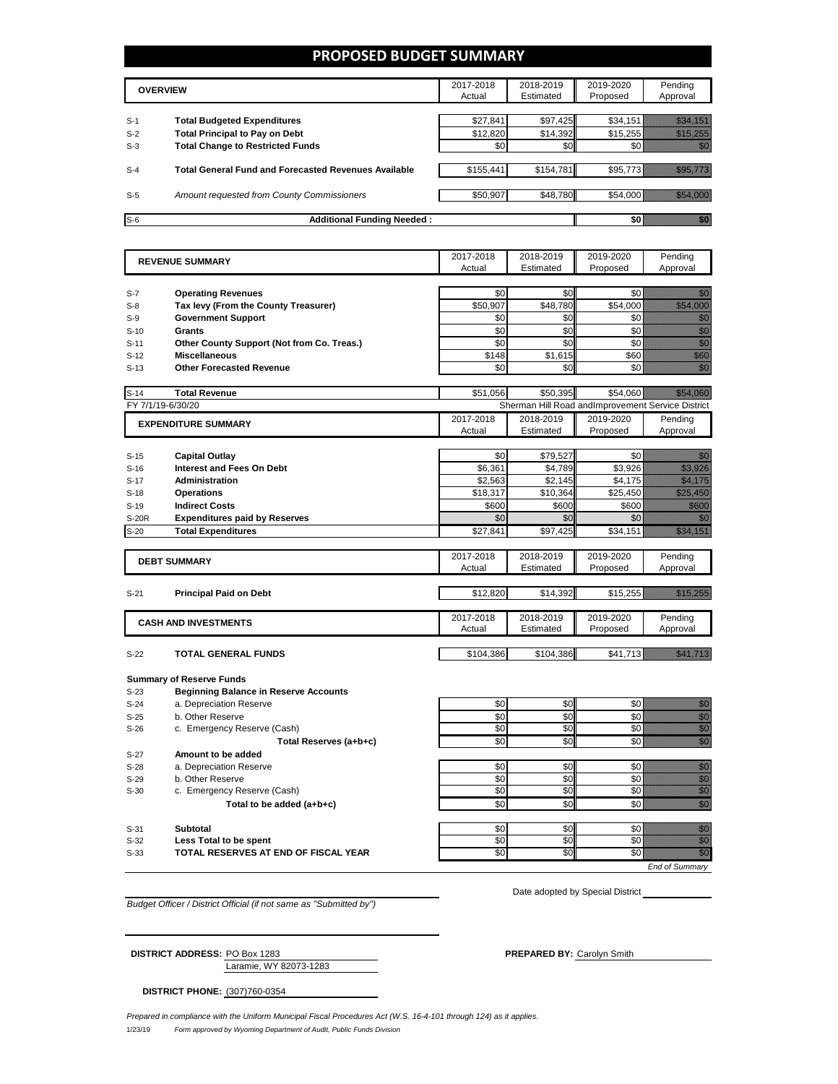## **PROPOSED BUDGET SUMMARY**

|       | <b>OVERVIEW</b>                                             | 2017-2018<br>Actual | 2018-2019<br>Estimated | 2019-2020<br>Proposed | Pending<br>Approval |
|-------|-------------------------------------------------------------|---------------------|------------------------|-----------------------|---------------------|
| $S-1$ | <b>Total Budgeted Expenditures</b>                          | \$27.841            | \$97,425               | \$34,151              |                     |
| $S-2$ | <b>Total Principal to Pay on Debt</b>                       | \$12,820            | \$14,392               | \$15,255              |                     |
| $S-3$ | <b>Total Change to Restricted Funds</b>                     | \$0                 | \$0                    |                       |                     |
|       |                                                             |                     |                        |                       |                     |
| $S-4$ | <b>Total General Fund and Forecasted Revenues Available</b> | \$155,441           | \$154,781              | \$95,773              |                     |
| $S-5$ | Amount requested from County Commissioners                  | \$50,907            | \$48,780               | \$54,000              |                     |
|       |                                                             |                     |                        |                       |                     |
| $S-6$ | <b>Additional Funding Needed:</b>                           |                     |                        |                       |                     |

| <b>REVENUE SUMMARY</b> |                                              | 2017-2018       | 2018-2019       | 2019-2020                                         | Pending                                                                                                                                                                                                                              |
|------------------------|----------------------------------------------|-----------------|-----------------|---------------------------------------------------|--------------------------------------------------------------------------------------------------------------------------------------------------------------------------------------------------------------------------------------|
|                        |                                              | Actual          | Estimated       | Proposed                                          | Approval                                                                                                                                                                                                                             |
|                        |                                              |                 |                 |                                                   |                                                                                                                                                                                                                                      |
| $S-7$                  | <b>Operating Revenues</b>                    | \$0             | \$0             | \$0                                               | en 1999.<br>Volks                                                                                                                                                                                                                    |
| $S-8$                  | Tax levy (From the County Treasurer)         | \$50,907        | \$48,780        | \$54,000                                          | a a a an an t-ainm                                                                                                                                                                                                                   |
| $S-9$                  | <b>Government Support</b>                    | \$0             | \$0             | \$0                                               | en de la familie de la familie de la familie de la familie de la familie de la familie de la familie de la fa<br>Concelho de la familie de la familie de la familie de la familie de la familie de la familie de la familie de       |
| $S-10$                 | Grants                                       | \$0             | \$0             | \$0                                               | en de la familie de la familie de la familie de la familie de la familie de la familie de la familie de la fa<br>Espainia                                                                                                            |
| $S-11$                 | Other County Support (Not from Co. Treas.)   | \$0             | \$0             | \$0                                               |                                                                                                                                                                                                                                      |
| $S-12$                 | <b>Miscellaneous</b>                         | \$148           | \$1,615         | \$60                                              | WANDOO WA                                                                                                                                                                                                                            |
| $S-13$                 | <b>Other Forecasted Revenue</b>              | \$0             | \$0             | \$0                                               | en de la filosofia<br>Maria de la filòla del control de la filòla de la filòla de la filòla de la filòla de la filòla de la filòla<br>Maria de la filòla de la filòla de la filòla de la filòla de la filòla de la filòla de la filò |
|                        |                                              |                 |                 |                                                   |                                                                                                                                                                                                                                      |
| $S-14$                 | <b>Total Revenue</b>                         | \$51,056        | \$50.395        | \$54.060                                          |                                                                                                                                                                                                                                      |
|                        | FY 7/1/19-6/30/20                            |                 |                 | Sherman Hill Road andImprovement Service District |                                                                                                                                                                                                                                      |
|                        | <b>EXPENDITURE SUMMARY</b>                   | 2017-2018       | 2018-2019       | 2019-2020                                         | Pending                                                                                                                                                                                                                              |
|                        |                                              | Actual          | Estimated       | Proposed                                          | Approval                                                                                                                                                                                                                             |
|                        |                                              |                 |                 |                                                   |                                                                                                                                                                                                                                      |
| $S-15$                 | <b>Capital Outlay</b>                        | \$0             | \$79,527        | \$0                                               | 199                                                                                                                                                                                                                                  |
| $S-16$                 | <b>Interest and Fees On Debt</b>             | \$6,361         | \$4,789         | \$3,926                                           | <u>ilikuwa k</u>                                                                                                                                                                                                                     |
| $S-17$                 | <b>Administration</b>                        | \$2,563         | \$2,145         | \$4,175                                           | <u> Mariji (</u>                                                                                                                                                                                                                     |
| $S-18$                 | <b>Operations</b>                            | \$18,317        | \$10,364        | \$25,450                                          | <u>Maritimo e</u>                                                                                                                                                                                                                    |
| $S-19$                 | <b>Indirect Costs</b>                        | \$600           | \$600           | \$600                                             | <u> Mille Sa</u>                                                                                                                                                                                                                     |
| <b>S-20R</b>           | <b>Expenditures paid by Reserves</b>         | \$0             | \$0             | \$0                                               | ni<br>Mari                                                                                                                                                                                                                           |
| $S-20$                 | <b>Total Expenditures</b>                    | \$27,841        | \$97,425        | \$34,151                                          | <u>mana</u>                                                                                                                                                                                                                          |
|                        |                                              |                 |                 |                                                   |                                                                                                                                                                                                                                      |
|                        | <b>DEBT SUMMARY</b>                          | 2017-2018       | 2018-2019       | 2019-2020                                         | Pending                                                                                                                                                                                                                              |
|                        |                                              | Actual          | Estimated       | Proposed                                          | Approval                                                                                                                                                                                                                             |
|                        |                                              |                 |                 |                                                   |                                                                                                                                                                                                                                      |
| $S-21$                 | <b>Principal Paid on Debt</b>                | \$12,820        | \$14,392        | \$15,255                                          | <u>tional and</u>                                                                                                                                                                                                                    |
|                        |                                              |                 |                 |                                                   |                                                                                                                                                                                                                                      |
|                        | <b>CASH AND INVESTMENTS</b>                  | 2017-2018       | 2018-2019       | 2019-2020                                         | Pending                                                                                                                                                                                                                              |
|                        |                                              | Actual          | Estimated       | Proposed                                          | Approval                                                                                                                                                                                                                             |
|                        |                                              |                 |                 |                                                   |                                                                                                                                                                                                                                      |
| $S-22$                 | <b>TOTAL GENERAL FUNDS</b>                   | \$104,386       | \$104,386       | \$41,713                                          | <u> Hardinaldin k</u>                                                                                                                                                                                                                |
|                        |                                              |                 |                 |                                                   |                                                                                                                                                                                                                                      |
|                        | <b>Summary of Reserve Funds</b>              |                 |                 |                                                   |                                                                                                                                                                                                                                      |
| $S-23$                 | <b>Beginning Balance in Reserve Accounts</b> |                 |                 |                                                   |                                                                                                                                                                                                                                      |
| $S-24$                 | a. Depreciation Reserve                      | \$0             | \$0             | \$0                                               | en de la familie de la familie de la familie de la familie de la familie de la familie de la familie de la fa<br>Concelho de la familie de la familie de la familie de la familie de la familie de la familie de la familie de       |
| $S-25$                 | b. Other Reserve                             | \$0             | \$0             | \$0                                               | enne<br>Mille                                                                                                                                                                                                                        |
| $S-26$                 | c. Emergency Reserve (Cash)                  | \$0             | \$0             | \$0                                               | enne<br>Mille                                                                                                                                                                                                                        |
|                        | Total Reserves (a+b+c)                       | \$0             | \$0             | \$0                                               | en de la familie de la familie de la familie de la familie de la familie de la familie de la familie de la fa<br>Constitution de la familie de la familie de la familie de la familie de la familie de la familie de la familie      |
| $S-27$                 | Amount to be added                           |                 |                 |                                                   |                                                                                                                                                                                                                                      |
| $S-28$                 | a. Depreciation Reserve                      | \$0             | \$0             | \$0                                               | en de la familie de la familie de la familie de la familie de la familie de la familie de la familie de la fa<br>Constitution de la familie de la familie de la familie de la familie de la familie de la familie de la familie      |
| $S-29$                 | b. Other Reserve                             | \$0             | \$0             | \$0                                               | e de la facta de la facta de la facta de la facta de la facta de la facta de la facta de la facta de la facta<br>La facta de la facta de la facta de la facta de la facta de la facta de la facta de la facta de la facta de la      |
| $S-30$                 | c. Emergency Reserve (Cash)                  | \$0             | \$0             | \$0                                               |                                                                                                                                                                                                                                      |
|                        | Total to be added (a+b+c)                    | \$0             | \$0             | \$0                                               | en de la familie de la familie de la familie de la familie de la familie de la familie de la familie de la fa<br>De la familie de la familie de la familie de la familie de la familie de la familie de la familie de la famili      |
|                        |                                              |                 |                 |                                                   |                                                                                                                                                                                                                                      |
| $S-31$                 | Subtotal                                     | \$0             | \$0             | \$0                                               | en første kommer.<br>Generaliseren                                                                                                                                                                                                   |
| $S-32$                 | Less Total to be spent                       | \$0             | \$0             | \$0                                               | en en de la familie de la familie de la familie de la familie de la familie de la familie de la familie de la<br>Constitution de la familie de la familie de la familie de la familie de la familie de la familie de la familie      |
| $S-33$                 | TOTAL RESERVES AT END OF FISCAL YEAR         | $\overline{50}$ | $\overline{50}$ | $\overline{50}$                                   | en de la falla de la falla de la falla de la falla de la falla de la falla de la falla de la falla de la fall<br>Casa de la falla de la falla de la falla de la falla de la falla de la falla de la falla de la falla de la fa       |
|                        |                                              |                 |                 |                                                   | <b>End of Summary</b>                                                                                                                                                                                                                |

*Budget Officer / District Official (if not same as "Submitted by")*

Date adopted by Special District

| <b>DISTRICT ADDRESS: PO Box 1283</b> |                        |  |  |
|--------------------------------------|------------------------|--|--|
|                                      | Laramie. WY 82073-1283 |  |  |

**DISTRICT ADDRESS:** PREPARED BY: Carolyn Smith

**DISTRICT PHONE:** (307)760-0354

1/23/19 *Form approved by Wyoming Department of Audit, Public Funds Division Prepared in compliance with the Uniform Municipal Fiscal Procedures Act (W.S. 16-4-101 through 124) as it applies.*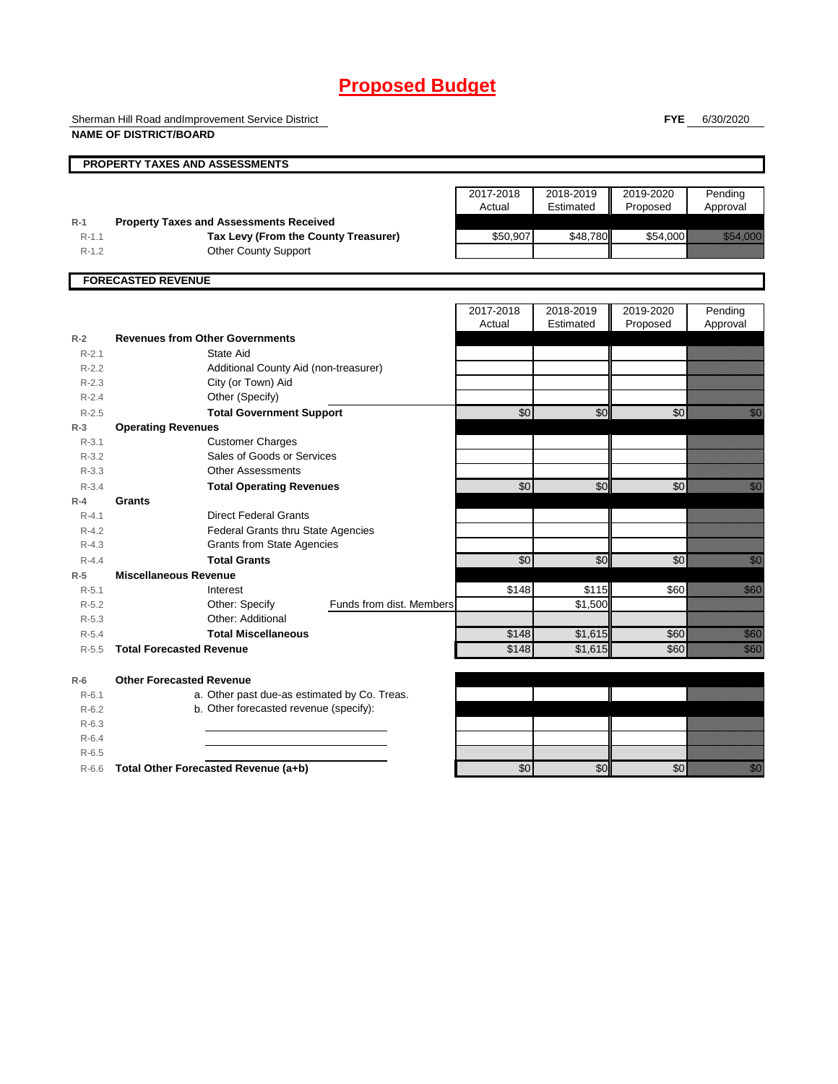# **Proposed Budget**

Sherman Hill Road andImprovement Service District **NAME OF DISTRICT/BOARD**

**FYE** 6/30/2020

|           | <b>PROPERTY TAXES AND ASSESSMENTS</b>          |                          |                 |           |                 |                                                                                                                                                                                                                                  |
|-----------|------------------------------------------------|--------------------------|-----------------|-----------|-----------------|----------------------------------------------------------------------------------------------------------------------------------------------------------------------------------------------------------------------------------|
|           |                                                |                          |                 |           |                 |                                                                                                                                                                                                                                  |
|           |                                                |                          | 2017-2018       | 2018-2019 | 2019-2020       | Pending                                                                                                                                                                                                                          |
|           |                                                |                          | Actual          | Estimated | Proposed        | Approval                                                                                                                                                                                                                         |
| $R-1$     | <b>Property Taxes and Assessments Received</b> |                          |                 |           |                 |                                                                                                                                                                                                                                  |
| $R-1.1$   | Tax Levy (From the County Treasurer)           |                          | \$50,907        | \$48,780  | \$54,000        | <u>tin allan</u>                                                                                                                                                                                                                 |
| $R-1.2$   | <b>Other County Support</b>                    |                          |                 |           |                 |                                                                                                                                                                                                                                  |
|           |                                                |                          |                 |           |                 |                                                                                                                                                                                                                                  |
|           | <b>FORECASTED REVENUE</b>                      |                          |                 |           |                 |                                                                                                                                                                                                                                  |
|           |                                                |                          | 2017-2018       | 2018-2019 | 2019-2020       | Pending                                                                                                                                                                                                                          |
|           |                                                |                          | Actual          | Estimated | Proposed        | Approval                                                                                                                                                                                                                         |
| $R-2$     | <b>Revenues from Other Governments</b>         |                          |                 |           |                 |                                                                                                                                                                                                                                  |
| $R - 2.1$ | State Aid                                      |                          |                 |           |                 |                                                                                                                                                                                                                                  |
| $R-2.2$   | Additional County Aid (non-treasurer)          |                          |                 |           |                 |                                                                                                                                                                                                                                  |
| $R-2.3$   | City (or Town) Aid                             |                          |                 |           |                 |                                                                                                                                                                                                                                  |
| $R - 2.4$ | Other (Specify)                                |                          |                 |           |                 |                                                                                                                                                                                                                                  |
| $R-2.5$   | <b>Total Government Support</b>                |                          | $\overline{60}$ | \$0       | $\overline{60}$ | <u>tik k</u>                                                                                                                                                                                                                     |
| $R-3$     | <b>Operating Revenues</b>                      |                          |                 |           |                 |                                                                                                                                                                                                                                  |
| $R - 3.1$ | <b>Customer Charges</b>                        |                          |                 |           |                 |                                                                                                                                                                                                                                  |
| $R - 3.2$ | Sales of Goods or Services                     |                          |                 |           |                 |                                                                                                                                                                                                                                  |
| $R - 3.3$ | <b>Other Assessments</b>                       |                          |                 |           |                 |                                                                                                                                                                                                                                  |
| $R - 3.4$ | <b>Total Operating Revenues</b>                |                          | $\overline{60}$ | \$0       | \$0             | en de la facta de la facta de la facta de la facta de la facta de la facta de la facta de la facta de la facta<br>El facta de la facta de la facta de la facta de la facta de la facta de la facta de la facta de la facta de la |
| $R-4$     | <b>Grants</b>                                  |                          |                 |           |                 |                                                                                                                                                                                                                                  |
| $R - 4.1$ | <b>Direct Federal Grants</b>                   |                          |                 |           |                 |                                                                                                                                                                                                                                  |
| $R - 4.2$ | Federal Grants thru State Agencies             |                          |                 |           |                 |                                                                                                                                                                                                                                  |
| $R - 4.3$ | <b>Grants from State Agencies</b>              |                          |                 |           |                 |                                                                                                                                                                                                                                  |
| $R - 4.4$ | <b>Total Grants</b>                            |                          | \$0             | \$0       | \$0             | en de la familie de la familie de la familie de la familie de la familie de la familie de la familie de la fam<br>De la familie de la familie de la familie de la familie de la familie de la familie de la familie de la famili |
| $R-5$     | <b>Miscellaneous Revenue</b>                   |                          |                 |           |                 |                                                                                                                                                                                                                                  |
| $R - 5.1$ | Interest                                       |                          | \$148           | \$115     | \$60            | <u>ti ka</u>                                                                                                                                                                                                                     |
| $R - 5.2$ | Other: Specify                                 | Funds from dist. Members |                 | \$1,500   |                 |                                                                                                                                                                                                                                  |
| $R - 5.3$ | Other: Additional                              |                          |                 |           |                 |                                                                                                                                                                                                                                  |
| $R - 5.4$ | <b>Total Miscellaneous</b>                     |                          | \$148           | \$1,615   | \$60            | <u>i k</u>                                                                                                                                                                                                                       |
| $R - 5.5$ | <b>Total Forecasted Revenue</b>                |                          | \$148           | \$1,615   | \$60            | <u>i k</u>                                                                                                                                                                                                                       |
| $R-6$     | <b>Other Forecasted Revenue</b>                |                          |                 |           |                 |                                                                                                                                                                                                                                  |
| $R-6.1$   | a. Other past due-as estimated by Co. Treas.   |                          |                 |           |                 |                                                                                                                                                                                                                                  |
| $R - 6.2$ | b. Other forecasted revenue (specify):         |                          |                 |           |                 |                                                                                                                                                                                                                                  |
| $R-6.3$   |                                                |                          |                 |           |                 |                                                                                                                                                                                                                                  |
| $R-6.4$   |                                                |                          |                 |           |                 |                                                                                                                                                                                                                                  |
| $R-6.5$   |                                                |                          |                 |           |                 |                                                                                                                                                                                                                                  |
| $R-6.6$   | Total Other Forecasted Revenue (a+b)           |                          | $\sqrt{6}$      | \$0       | $\overline{60}$ | en de la familie de la familie de la familie de la familie de la familie de la familie de la familie de la fa<br>Constitution de la familie de la familie de la familie de la familie de la familie de la familie de la familie  |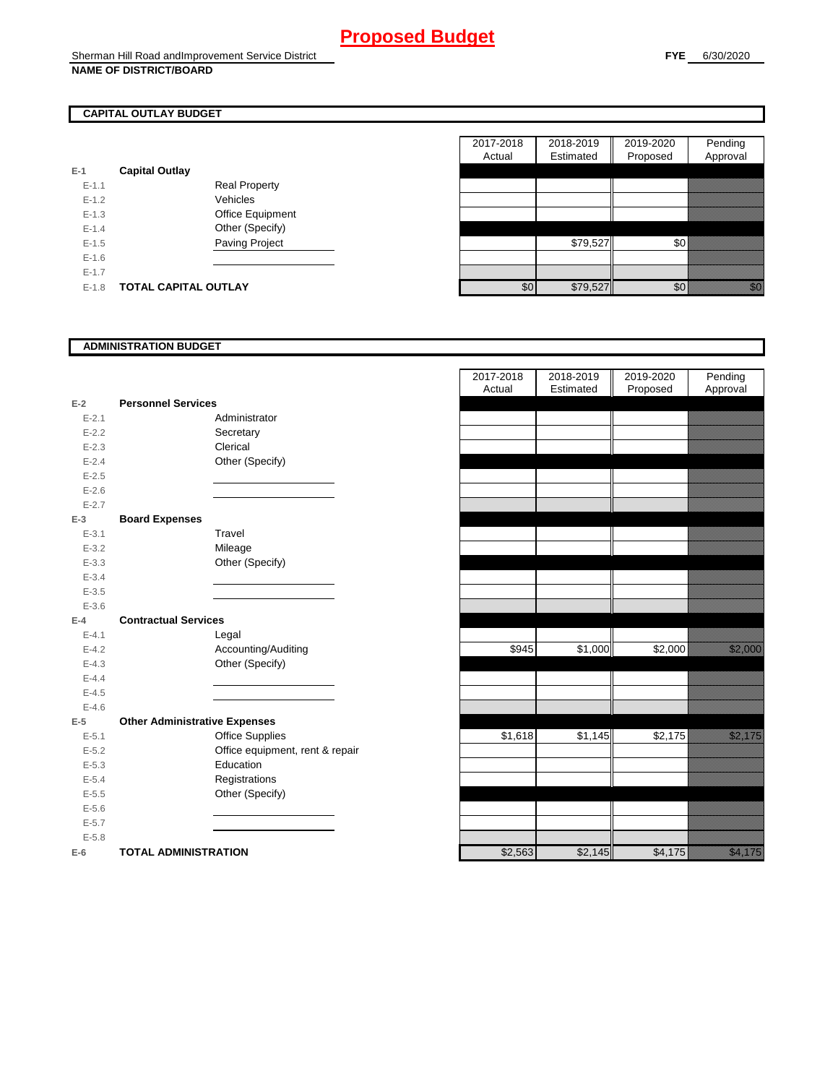## **CAPITAL OUTLAY BUDGET**

| $E-1$     | <b>Capital Outlay</b> |                         |
|-----------|-----------------------|-------------------------|
| $E - 1.1$ |                       | <b>Real Property</b>    |
| $F-12$    |                       | Vehicles                |
| $F-1.3$   |                       | <b>Office Equipment</b> |
| $F-14$    |                       | Other (Specify)         |
| $F-1.5$   |                       | <b>Paving Project</b>   |
| $F-16$    |                       |                         |
| $E - 1.7$ |                       |                         |
| $F-1.8$   | TOTAL CAPITAL OUTLAY  |                         |

|           |                             |                      | 2017-2018 | 2018-2019 | 2019-2020 | Pending                                                                                                                                                                                                                         |
|-----------|-----------------------------|----------------------|-----------|-----------|-----------|---------------------------------------------------------------------------------------------------------------------------------------------------------------------------------------------------------------------------------|
|           |                             |                      | Actual    | Estimated | Proposed  | Approval                                                                                                                                                                                                                        |
|           | <b>Capital Outlay</b>       |                      |           |           |           |                                                                                                                                                                                                                                 |
| $E - 1.1$ |                             | <b>Real Property</b> |           |           |           |                                                                                                                                                                                                                                 |
| $E - 1.2$ |                             | Vehicles             |           |           |           |                                                                                                                                                                                                                                 |
| $E-1.3$   |                             | Office Equipment     |           |           |           |                                                                                                                                                                                                                                 |
| $E - 1.4$ |                             | Other (Specify)      |           |           |           |                                                                                                                                                                                                                                 |
| $E-1.5$   |                             | Paving Project       |           | \$79,527  | \$0       |                                                                                                                                                                                                                                 |
| $E-1.6$   |                             |                      |           |           |           |                                                                                                                                                                                                                                 |
| $E - 1.7$ |                             |                      |           |           |           |                                                                                                                                                                                                                                 |
| $E-1.8$   | <b>TOTAL CAPITAL OUTLAY</b> |                      | \$0       | \$79,527  | \$0       | en de la familie de la familie de la familie de la familie de la familie de la familie de la familie de la fa<br>Constituit de la familie de la familie de la familie de la familie de la familie de la familie de la familie d |

### **ADMINISTRATION BUDGET**

| $E-2$     | <b>Personnel Services</b>            |
|-----------|--------------------------------------|
| $E - 2.1$ | Administrator                        |
| $E - 2.2$ | Secretary                            |
| $E - 2.3$ | Clerical                             |
| $E - 2.4$ | Other (Specify)                      |
| $E - 2.5$ |                                      |
| $E - 2.6$ |                                      |
| $E - 2.7$ |                                      |
| $E-3$     | <b>Board Expenses</b>                |
| $E - 3.1$ | Travel                               |
| $E - 3.2$ | Mileage                              |
| $E - 3.3$ | Other (Specify)                      |
| $E - 3.4$ |                                      |
| $E - 3.5$ |                                      |
| $E - 3.6$ |                                      |
| $E-4$     | <b>Contractual Services</b>          |
| $E - 4.1$ | Legal                                |
| $E - 4.2$ | Accounting/Auditing                  |
| $E - 4.3$ | Other (Specify)                      |
| $E - 4.4$ |                                      |
| $E - 4.5$ |                                      |
| $E - 4.6$ |                                      |
| $E-5$     | <b>Other Administrative Expenses</b> |
| $E - 5.1$ | <b>Office Supplies</b>               |
| $E - 5.2$ | Office equipment, rent & repair      |
| $E - 5.3$ | Education                            |
| $E - 5.4$ | Registrations                        |
| $E - 5.5$ | Other (Specify)                      |
| $E - 5.6$ |                                      |
| $E - 5.7$ |                                      |
| $E - 5.8$ |                                      |
| $E-6$     | <b>TOTAL ADMINISTRATION</b>          |

|                          |                                      | 2017-2018<br>Actual | 2018-2019<br>Estimated | 2019-2020<br>Proposed | Pending<br>Approval                                                                                                                                                                                                              |
|--------------------------|--------------------------------------|---------------------|------------------------|-----------------------|----------------------------------------------------------------------------------------------------------------------------------------------------------------------------------------------------------------------------------|
| Ž                        | <b>Personnel Services</b>            |                     |                        |                       |                                                                                                                                                                                                                                  |
| $E - 2.1$                | Administrator                        |                     |                        |                       |                                                                                                                                                                                                                                  |
| $E - 2.2$                | Secretary                            |                     |                        |                       |                                                                                                                                                                                                                                  |
| $E - 2.3$                | Clerical                             |                     |                        |                       |                                                                                                                                                                                                                                  |
| $E - 2.4$                | Other (Specify)                      |                     |                        |                       |                                                                                                                                                                                                                                  |
| $E - 2.5$                |                                      |                     |                        |                       |                                                                                                                                                                                                                                  |
| $E - 2.6$                |                                      |                     |                        |                       |                                                                                                                                                                                                                                  |
| $E - 2.7$                |                                      |                     |                        |                       |                                                                                                                                                                                                                                  |
| 3                        | <b>Board Expenses</b>                |                     |                        |                       |                                                                                                                                                                                                                                  |
| $E - 3.1$                | Travel                               |                     |                        |                       |                                                                                                                                                                                                                                  |
| $E - 3.2$                | Mileage                              |                     |                        |                       |                                                                                                                                                                                                                                  |
| $E - 3.3$                | Other (Specify)                      |                     |                        |                       |                                                                                                                                                                                                                                  |
| $E - 3.4$                |                                      |                     |                        |                       |                                                                                                                                                                                                                                  |
| $E - 3.5$                |                                      |                     |                        |                       |                                                                                                                                                                                                                                  |
| $E - 3.6$                |                                      |                     |                        |                       |                                                                                                                                                                                                                                  |
| Ļ.                       | <b>Contractual Services</b>          |                     |                        |                       |                                                                                                                                                                                                                                  |
| $E - 4.1$                | Legal                                |                     |                        |                       |                                                                                                                                                                                                                                  |
| $E - 4.2$                | Accounting/Auditing                  | \$945               | \$1,000                | \$2,000               | <u>ti karatikana yang berasalahan dalam bagi dalam bagi dalam bagi dalam bagi dalam bagi dalam bagi dalam bagi d</u>                                                                                                             |
| $E - 4.3$                | Other (Specify)                      |                     |                        |                       |                                                                                                                                                                                                                                  |
| $E - 4.4$                |                                      |                     |                        |                       |                                                                                                                                                                                                                                  |
| $E - 4.5$                |                                      |                     |                        |                       |                                                                                                                                                                                                                                  |
| $E - 4.6$                |                                      |                     |                        |                       |                                                                                                                                                                                                                                  |
| $\overline{\phantom{a}}$ | <b>Other Administrative Expenses</b> |                     |                        |                       |                                                                                                                                                                                                                                  |
| $E - 5.1$                | <b>Office Supplies</b>               | \$1,618             | \$1,145                | \$2,175               | e de la composición de la composición de la composición de la composición de la composición de la composición<br>A la composición de la composición de la composición de la composición de la composición de la composición de   |
| $E - 5.2$                | Office equipment, rent & repair      |                     |                        |                       |                                                                                                                                                                                                                                  |
| $E - 5.3$                | Education                            |                     |                        |                       |                                                                                                                                                                                                                                  |
| $E - 5.4$                | Registrations                        |                     |                        |                       |                                                                                                                                                                                                                                  |
| $E - 5.5$                | Other (Specify)                      |                     |                        |                       |                                                                                                                                                                                                                                  |
| $E - 5.6$                |                                      |                     |                        |                       |                                                                                                                                                                                                                                  |
| $E - 5.7$                |                                      |                     |                        |                       |                                                                                                                                                                                                                                  |
| $E - 5.8$                |                                      |                     |                        |                       |                                                                                                                                                                                                                                  |
| ì                        | <b>TOTAL ADMINISTRATION</b>          | \$2,563             | \$2,145                | \$4,175               | a katika katika katika katika katika katika katika katika katika katika katika katika katika katika katika kat<br>Katika katika katika katika katika katika katika katika katika katika katika katika katika katika katika katik |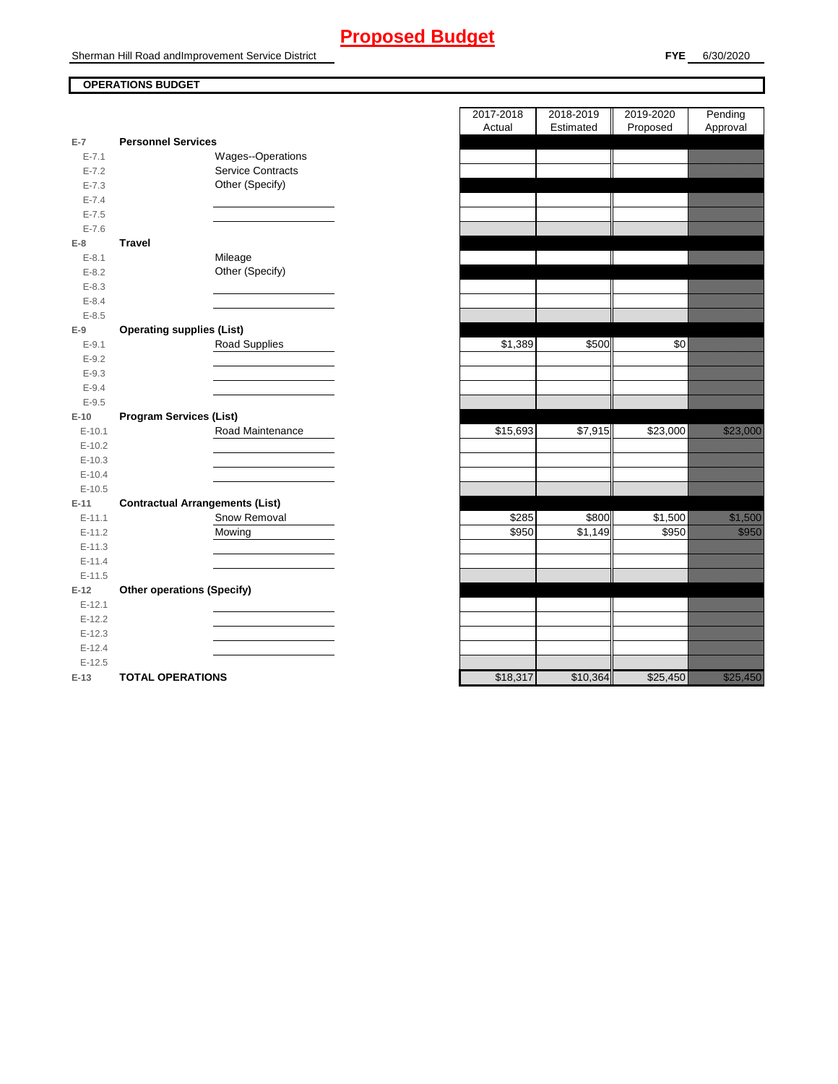# **Proposed Budget**

Sherman Hill Road andImprovement Service District

### **OPERATIONS BUDGET**

|                      |                                        | Actual   | Estimated | Proposed | Approval                                                                                                                                                                                                                         |
|----------------------|----------------------------------------|----------|-----------|----------|----------------------------------------------------------------------------------------------------------------------------------------------------------------------------------------------------------------------------------|
| $E-7$                | <b>Personnel Services</b>              |          |           |          |                                                                                                                                                                                                                                  |
| $E - 7.1$            | Wages--Operations                      |          |           |          |                                                                                                                                                                                                                                  |
| $E - 7.2$            | Service Contracts                      |          |           |          |                                                                                                                                                                                                                                  |
| $E - 7.3$            | Other (Specify)                        |          |           |          |                                                                                                                                                                                                                                  |
| $E - 7.4$            |                                        |          |           |          |                                                                                                                                                                                                                                  |
| $E - 7.5$            |                                        |          |           |          |                                                                                                                                                                                                                                  |
| $E - 7.6$            |                                        |          |           |          |                                                                                                                                                                                                                                  |
| $E-8$                | <b>Travel</b>                          |          |           |          |                                                                                                                                                                                                                                  |
| $E - 8.1$            | Mileage                                |          |           |          |                                                                                                                                                                                                                                  |
| $E - 8.2$            | Other (Specify)                        |          |           |          |                                                                                                                                                                                                                                  |
| $E - 8.3$            |                                        |          |           |          |                                                                                                                                                                                                                                  |
| $E - 8.4$            |                                        |          |           |          |                                                                                                                                                                                                                                  |
| $E - 8.5$            |                                        |          |           |          |                                                                                                                                                                                                                                  |
| $E-9$                | <b>Operating supplies (List)</b>       |          |           |          |                                                                                                                                                                                                                                  |
| $E - 9.1$            | Road Supplies                          | \$1,389  | \$500     | \$0      |                                                                                                                                                                                                                                  |
| $E - 9.2$            |                                        |          |           |          |                                                                                                                                                                                                                                  |
| $E-9.3$              |                                        |          |           |          |                                                                                                                                                                                                                                  |
| $E - 9.4$            |                                        |          |           |          |                                                                                                                                                                                                                                  |
| $E-9.5$              |                                        |          |           |          |                                                                                                                                                                                                                                  |
| $E-10$               | <b>Program Services (List)</b>         |          |           |          |                                                                                                                                                                                                                                  |
| $E-10.1$             | Road Maintenance                       | \$15,693 | \$7,915   | \$23,000 | a katalunggal sa katalunggal sa katalunggal sa katalunggal sa katalunggal sa katalunggal sa katalunggal sa kat<br>Katalunggal sa katalunggal sa katalunggal sa katalunggal sa katalunggal sa katalunggal sa katalunggal sa katal |
| $E-10.2$             |                                        |          |           |          |                                                                                                                                                                                                                                  |
| $E-10.3$             |                                        |          |           |          |                                                                                                                                                                                                                                  |
| $E-10.4$             |                                        |          |           |          |                                                                                                                                                                                                                                  |
| $E-10.5$             |                                        |          |           |          |                                                                                                                                                                                                                                  |
| $E-11$               | <b>Contractual Arrangements (List)</b> |          |           |          |                                                                                                                                                                                                                                  |
| $E-11.1$             | Snow Removal                           | \$285    | \$800     | \$1,500  | a katika katika katika katika katika katika alifuwa alifuwa alifuwa alifuwa alifuwa alifuwa alifuwa alifuwa a<br>Marejeo                                                                                                         |
| $E-11.2$             | Mowing                                 | \$950    | \$1,149   | \$950    | <u>i ka</u>                                                                                                                                                                                                                      |
| $E-11.3$             |                                        |          |           |          |                                                                                                                                                                                                                                  |
| $E-11.4$             |                                        |          |           |          |                                                                                                                                                                                                                                  |
| $E-11.5$             |                                        |          |           |          |                                                                                                                                                                                                                                  |
| $E-12$               | <b>Other operations (Specify)</b>      |          |           |          |                                                                                                                                                                                                                                  |
| $E-12.1$             |                                        |          |           |          |                                                                                                                                                                                                                                  |
| $E-12.2$             |                                        |          |           |          |                                                                                                                                                                                                                                  |
| $E-12.3$             |                                        |          |           |          |                                                                                                                                                                                                                                  |
| $E-12.4$<br>$E-12.5$ |                                        |          |           |          |                                                                                                                                                                                                                                  |
|                      |                                        |          |           |          |                                                                                                                                                                                                                                  |
| $E-13$               | <b>TOTAL OPERATIONS</b>                | \$18,317 | \$10,364  | \$25,450 | a a a an t-ainm                                                                                                                                                                                                                  |

|                |                                                        | 2017-2018 | 2018-2019 | 2019-2020 | Pending                                                                                                               |
|----------------|--------------------------------------------------------|-----------|-----------|-----------|-----------------------------------------------------------------------------------------------------------------------|
|                |                                                        | Actual    | Estimated | Proposed  | Approval                                                                                                              |
| $\overline{7}$ | <b>Personnel Services</b>                              |           |           |           |                                                                                                                       |
| $E - 7.1$      | Wages--Operations                                      |           |           |           |                                                                                                                       |
| $E - 7.2$      | <b>Service Contracts</b>                               |           |           |           |                                                                                                                       |
| $E - 7.3$      | Other (Specify)                                        |           |           |           |                                                                                                                       |
| $E - 7.4$      |                                                        |           |           |           |                                                                                                                       |
| $E - 7.5$      |                                                        |           |           |           |                                                                                                                       |
| $E - 7.6$      |                                                        |           |           |           |                                                                                                                       |
| 8              | <b>Travel</b>                                          |           |           |           |                                                                                                                       |
| $E-8.1$        | Mileage                                                |           |           |           |                                                                                                                       |
| $E - 8.2$      | Other (Specify)                                        |           |           |           |                                                                                                                       |
| $E - 8.3$      |                                                        |           |           |           |                                                                                                                       |
| $E - 8.4$      |                                                        |           |           |           |                                                                                                                       |
| $E - 8.5$      |                                                        |           |           |           |                                                                                                                       |
| 9              | <b>Operating supplies (List)</b>                       |           |           |           |                                                                                                                       |
| $E - 9.1$      | Road Supplies                                          | \$1,389   | \$500     | \$0       |                                                                                                                       |
| $E - 9.2$      |                                                        |           |           |           |                                                                                                                       |
| $E - 9.3$      |                                                        |           |           |           |                                                                                                                       |
| $E - 9.4$      |                                                        |           |           |           |                                                                                                                       |
| $E - 9.5$      |                                                        |           |           |           |                                                                                                                       |
| 10             | <b>Program Services (List)</b>                         |           |           |           |                                                                                                                       |
| $E-10.1$       | Road Maintenance                                       | \$15,693  | \$7,915   | \$23,000  | <u>i karatikana ya kusingan ya kasara a karatikana ya kasara a kasara a karatikana ya kasara a kasara a kasara a</u>  |
| $E-10.2$       |                                                        |           |           |           |                                                                                                                       |
| $E-10.3$       |                                                        |           |           |           |                                                                                                                       |
| $E - 10.4$     |                                                        |           |           |           |                                                                                                                       |
| $E-10.5$       |                                                        |           |           |           |                                                                                                                       |
| 11<br>$E-11.1$ | <b>Contractual Arrangements (List)</b><br>Snow Removal | \$285     | \$800     | \$1,500   | <u>ting and the second second in the second second in the second second in the second second in the second second</u> |
| $E-11.2$       | Mowing                                                 | \$950     | \$1,149   | \$950     | <u>ti ka</u>                                                                                                          |
| $E-11.3$       |                                                        |           |           |           |                                                                                                                       |
| $E-11.4$       |                                                        |           |           |           |                                                                                                                       |
| $E-11.5$       |                                                        |           |           |           |                                                                                                                       |
| 12             | <b>Other operations (Specify)</b>                      |           |           |           |                                                                                                                       |
| $E-12.1$       |                                                        |           |           |           |                                                                                                                       |
| $E-12.2$       |                                                        |           |           |           |                                                                                                                       |
| $E-12.3$       |                                                        |           |           |           |                                                                                                                       |
| $E-12.4$       |                                                        |           |           |           |                                                                                                                       |
| $E-12.5$       |                                                        |           |           |           |                                                                                                                       |
| $-13$          | <b>TOTAL OPERATIONS</b>                                | \$18,317  | \$10.364  | \$25.450  | <u>ti kalendari k</u>                                                                                                 |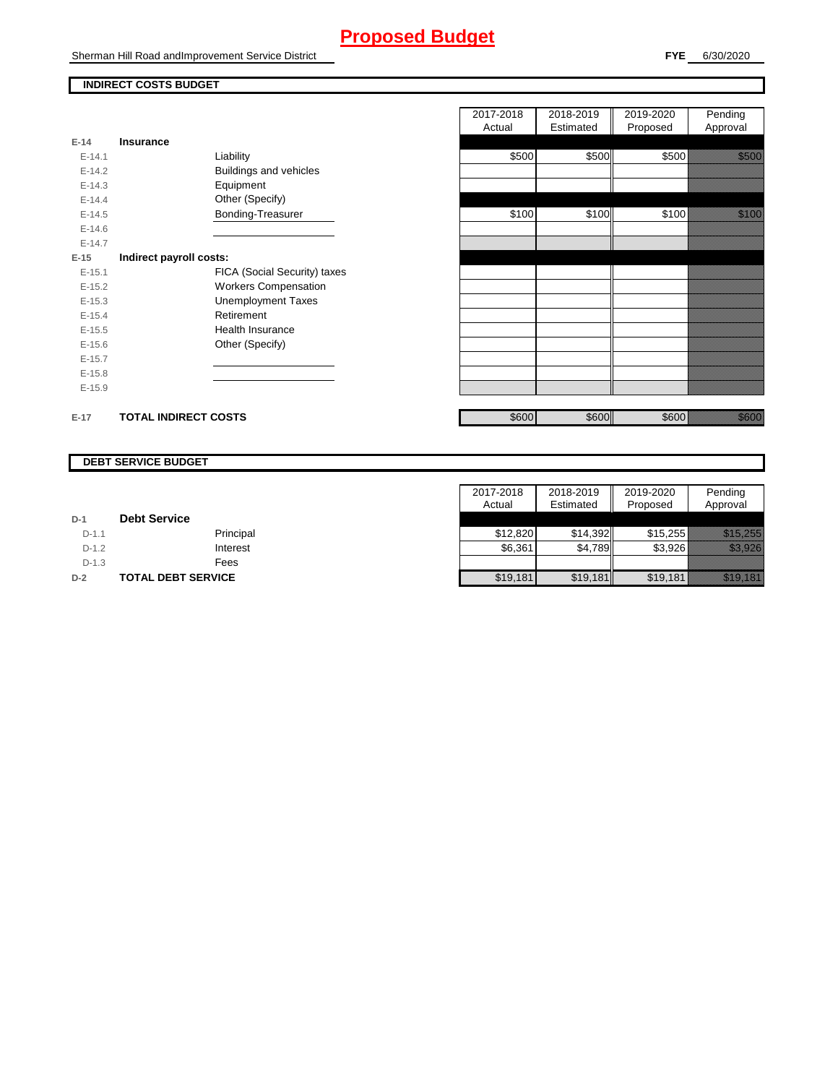# **Proposed Budget**

Sherman Hill Road andImprovement Service District

### **INDIRECT COSTS BUDGET**

|          |                              | Actual | Estimated | Proposed | Approval                                                                                                                                                                                                                         |
|----------|------------------------------|--------|-----------|----------|----------------------------------------------------------------------------------------------------------------------------------------------------------------------------------------------------------------------------------|
| $E-14$   | Insurance                    |        |           |          |                                                                                                                                                                                                                                  |
| $E-14.1$ | Liability                    | \$500  | \$500     | \$500    | <u> Hillian Sa</u>                                                                                                                                                                                                               |
| $E-14.2$ | Buildings and vehicles       |        |           |          |                                                                                                                                                                                                                                  |
| $E-14.3$ | Equipment                    |        |           |          |                                                                                                                                                                                                                                  |
| $E-14.4$ | Other (Specify)              |        |           |          |                                                                                                                                                                                                                                  |
| $E-14.5$ | Bonding-Treasurer            | \$100  | \$100     | \$100    | a katika katika katika katika katika katika alikuwa alikuwa alikuwa alikuwa alikuwa alikuwa alikuwa alikuwa al<br>Katika katika katika katika katika katika katika katika katika katika katika katika katika katika katika katik |
| $E-14.6$ |                              |        |           |          |                                                                                                                                                                                                                                  |
| $E-14.7$ |                              |        |           |          |                                                                                                                                                                                                                                  |
| $E-15$   | Indirect payroll costs:      |        |           |          |                                                                                                                                                                                                                                  |
| $E-15.1$ | FICA (Social Security) taxes |        |           |          |                                                                                                                                                                                                                                  |
| $E-15.2$ | <b>Workers Compensation</b>  |        |           |          |                                                                                                                                                                                                                                  |
| $E-15.3$ | <b>Unemployment Taxes</b>    |        |           |          |                                                                                                                                                                                                                                  |
| $E-15.4$ | Retirement                   |        |           |          |                                                                                                                                                                                                                                  |
| $E-15.5$ | Health Insurance             |        |           |          |                                                                                                                                                                                                                                  |
| $E-15.6$ | Other (Specify)              |        |           |          |                                                                                                                                                                                                                                  |
| $E-15.7$ |                              |        |           |          |                                                                                                                                                                                                                                  |
| $E-15.8$ |                              |        |           |          |                                                                                                                                                                                                                                  |
| $E-15.9$ |                              |        |           |          |                                                                                                                                                                                                                                  |
| $E-17$   | <b>TOTAL INDIRECT COSTS</b>  | \$600  | \$600     | \$600    | a a an t-òrdachan                                                                                                                                                                                                                |

| 2017-2018 | 2018-2019 | 2019-2020 | Pending              |
|-----------|-----------|-----------|----------------------|
| Actual    | Estimated | Proposed  | Approval             |
|           |           |           |                      |
| \$500     | \$500     | \$500     |                      |
|           |           |           |                      |
|           |           |           |                      |
|           |           |           |                      |
| \$100     | \$100     | \$100     |                      |
|           |           |           |                      |
|           |           |           |                      |
|           |           |           |                      |
|           |           |           |                      |
|           |           |           |                      |
|           |           |           |                      |
|           |           |           |                      |
|           |           |           |                      |
|           |           |           |                      |
|           |           |           |                      |
|           |           |           |                      |
|           |           |           |                      |
|           |           |           |                      |
|           |           |           |                      |
| \$600     | \$600     | \$600     | <u>Mille William</u> |

#### **DEBT SERVICE BUDGET**

|         |                     | 2017-2018 | 2018-2019 | 2019-2020 | Pending                                                                                                              |
|---------|---------------------|-----------|-----------|-----------|----------------------------------------------------------------------------------------------------------------------|
|         |                     | Actual    | Estimated | Proposed  | Approval                                                                                                             |
| $D-1$   | <b>Debt Service</b> |           |           |           |                                                                                                                      |
| $D-1.1$ | Principal           | \$12,820  | \$14.392  | \$15.255  | <u> Karajevića po postala pri predstava predstava predstava predstava predstava predstava predstava predstava pr</u> |
| $D-1.2$ | Interest            | \$6,361   | \$4,789   | \$3,926   | <u> Historia (</u>                                                                                                   |
| $D-1.3$ | Fees                |           |           |           |                                                                                                                      |
| $D-2$   | TOTAL DEBT SERVICE  | \$19,181  | \$19,181  | \$19,181  | <u> Karl Harrison (</u>                                                                                              |